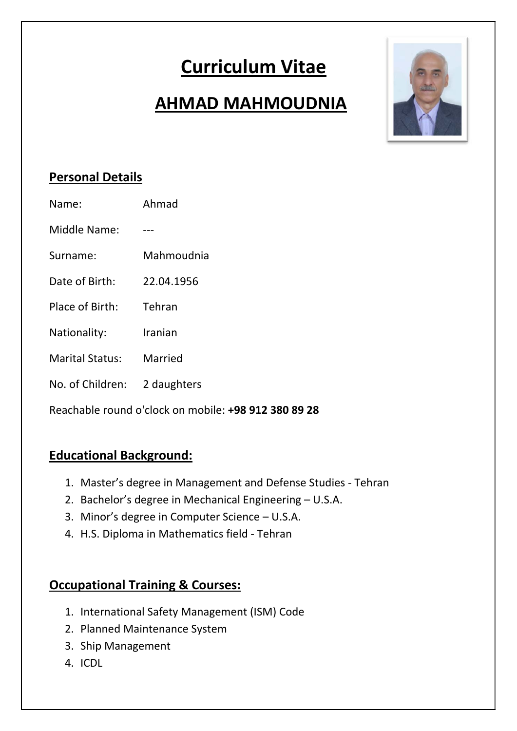# **Curriculum Vitae**

# **AHMAD MAHMOUDNIA**



## **Personal Details**

| Name: | Ahmad |  |
|-------|-------|--|
|-------|-------|--|

Middle Name: ---

- Surname: Mahmoudnia
- Date of Birth: 22.04.1956
- Place of Birth: Tehran
- Nationality: Iranian
- Marital Status: Married
- No. of Children: 2 daughters

Reachable round o'clock on mobile: **+98 912 380 89 28**

#### **Educational Background:**

- 1. Master's degree in Management and Defense Studies ‐ Tehran
- 2. Bachelor's degree in Mechanical Engineering U.S.A.
- 3. Minor's degree in Computer Science U.S.A.
- 4. H.S. Diploma in Mathematics field ‐ Tehran

### **Occupational Training & Courses:**

- 1. International Safety Management (ISM) Code
- 2. Planned Maintenance System
- 3. Ship Management
- 4. ICDL